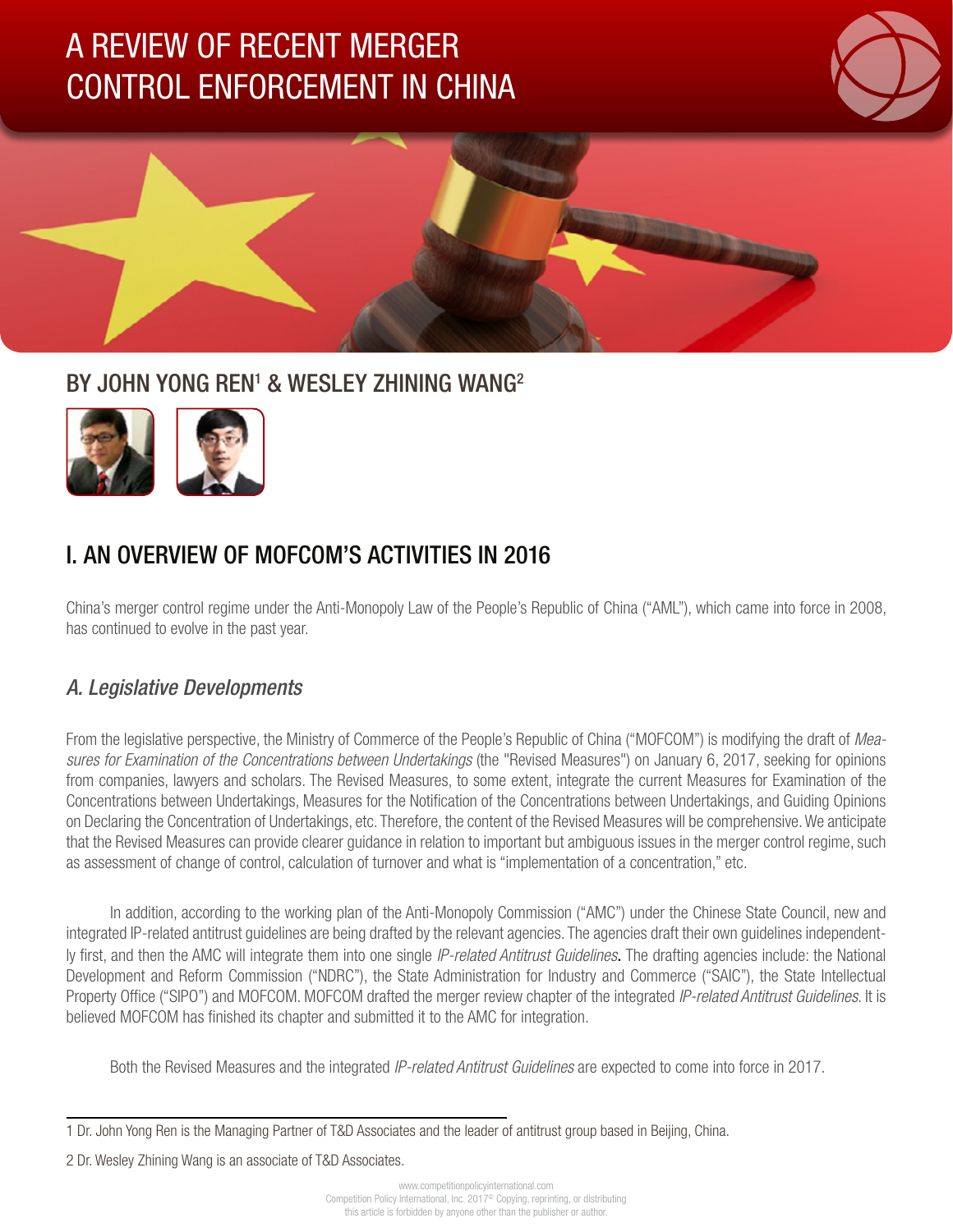# A REVIEW OF RECENT MERGER CONTROL ENFORCEMENT IN CHINA





# BY JOHN YONG REN<sup>1</sup> & WESLEY ZHINING WANG<sup>2</sup>



# I. AN OVERVIEW OF MOFCOM'S ACTIVITIES IN 2016

China's merger control regime under the Anti-Monopoly Law of the People's Republic of China ("AML"), which came into force in 2008, has continued to evolve in the past year.

# *A. Legislative Developments*

From the legislative perspective, the Ministry of Commerce of the People's Republic of China ("MOFCOM") is modifying the draft of *Measures for Examination of the Concentrations between Undertakings* (the "Revised Measures") on January 6, 2017, seeking for opinions from companies, lawyers and scholars. The Revised Measures, to some extent, integrate the current Measures for Examination of the Concentrations between Undertakings, Measures for the Notification of the Concentrations between Undertakings, and Guiding Opinions on Declaring the Concentration of Undertakings, etc. Therefore, the content of the Revised Measures will be comprehensive. We anticipate that the Revised Measures can provide clearer guidance in relation to important but ambiguous issues in the merger control regime, such as assessment of change of control, calculation of turnover and what is "implementation of a concentration," etc.

In addition, according to the working plan of the Anti-Monopoly Commission ("AMC") under the Chinese State Council, new and integrated IP-related antitrust guidelines are being drafted by the relevant agencies. The agencies draft their own guidelines independently first, and then the AMC will integrate them into one single *IP-related Antitrust Guidelines*. The drafting agencies include: the National Development and Reform Commission ("NDRC"), the State Administration for Industry and Commerce ("SAIC"), the State Intellectual Property Office ("SIPO") and MOFCOM. MOFCOM drafted the merger review chapter of the integrated *IP-related Antitrust Guidelines*. It is believed MOFCOM has finished its chapter and submitted it to the AMC for integration.

Both the Revised Measures and the integrated *IP-related Antitrust Guidelines* are expected to come into force in 2017.

2 Dr. Wesley Zhining Wang is an associate of T&D Associates.

<sup>1</sup> Dr. John Yong Ren is the Managing Partner of T&D Associates and the leader of antitrust group based in Beijing, China.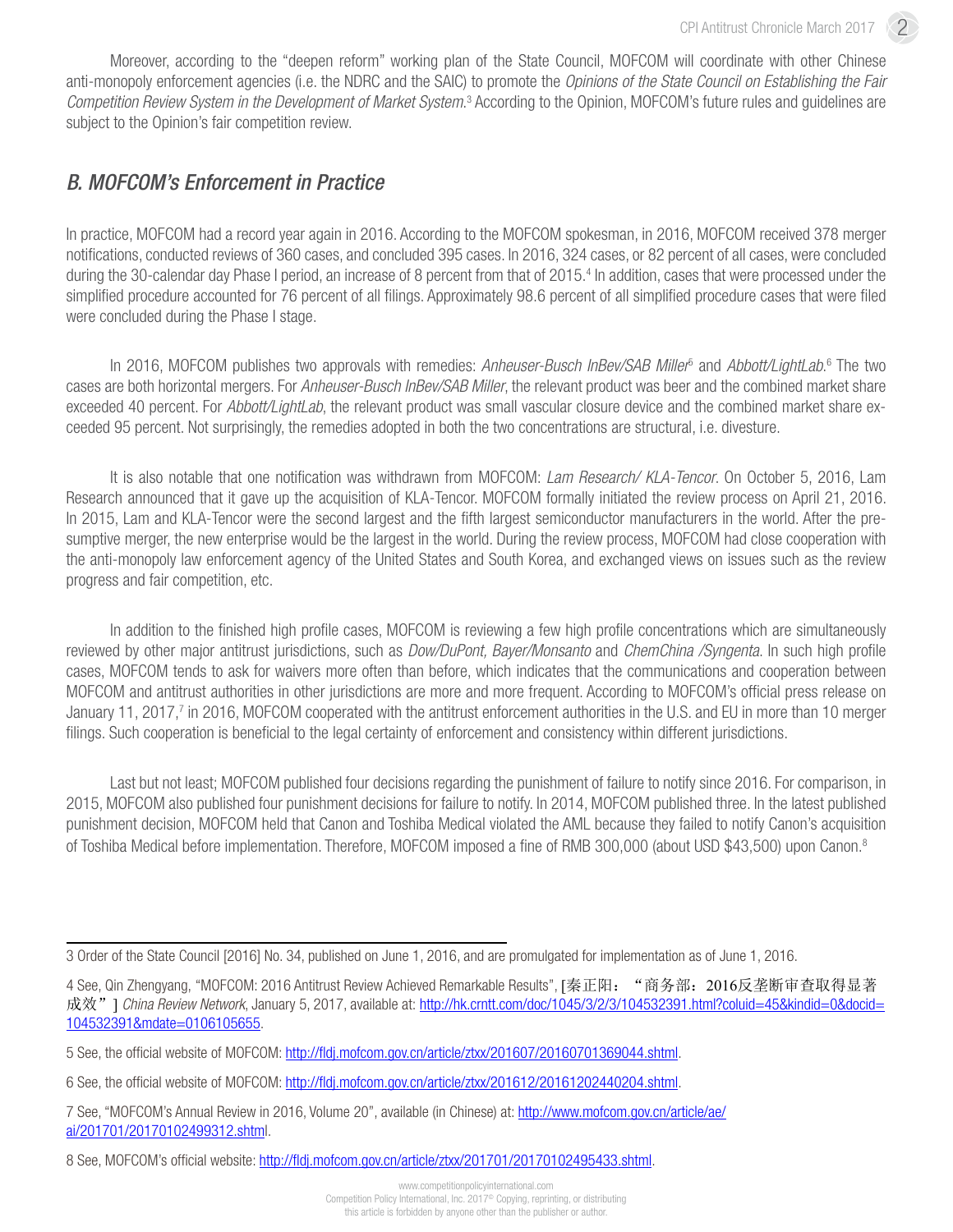Moreover, according to the "deepen reform" working plan of the State Council, MOFCOM will coordinate with other Chinese anti-monopoly enforcement agencies (i.e. the NDRC and the SAIC) to promote the *Opinions of the State Council on Establishing the Fair*  Competition Review System in the Development of Market System.<sup>3</sup> According to the Opinion, MOFCOM's future rules and guidelines are subject to the Opinion's fair competition review.

### *B. MOFCOM's Enforcement in Practice*

In practice, MOFCOM had a record year again in 2016. According to the MOFCOM spokesman, in 2016, MOFCOM received 378 merger notifications, conducted reviews of 360 cases, and concluded 395 cases. In 2016, 324 cases, or 82 percent of all cases, were concluded during the 30-calendar day Phase I period, an increase of 8 percent from that of 2015.<sup>4</sup> In addition, cases that were processed under the simplified procedure accounted for 76 percent of all filings. Approximately 98.6 percent of all simplified procedure cases that were filed were concluded during the Phase I stage.

In 2016, MOFCOM publishes two approvals with remedies: Anheuser-Busch InBev/SAB Miller<sup>5</sup> and Abbott/LightLab.<sup>6</sup> The two cases are both horizontal mergers. For *Anheuser-Busch InBev/SAB Miller*, the relevant product was beer and the combined market share exceeded 40 percent. For *Abbott/LightLab*, the relevant product was small vascular closure device and the combined market share exceeded 95 percent. Not surprisingly, the remedies adopted in both the two concentrations are structural, i.e. divesture.

It is also notable that one notification was withdrawn from MOFCOM: *Lam Research/ KLA-Tencor*. On October 5, 2016, Lam Research announced that it gave up the acquisition of KLA-Tencor. MOFCOM formally initiated the review process on April 21, 2016. In 2015, Lam and KLA-Tencor were the second largest and the fifth largest semiconductor manufacturers in the world. After the presumptive merger, the new enterprise would be the largest in the world. During the review process, MOFCOM had close cooperation with the anti-monopoly law enforcement agency of the United States and South Korea, and exchanged views on issues such as the review progress and fair competition, etc.

In addition to the finished high profile cases, MOFCOM is reviewing a few high profile concentrations which are simultaneously reviewed by other major antitrust jurisdictions, such as *Dow/DuPont, Bayer/Monsanto* and *ChemChina /Syngenta*. In such high profile cases, MOFCOM tends to ask for waivers more often than before, which indicates that the communications and cooperation between MOFCOM and antitrust authorities in other jurisdictions are more and more frequent. According to MOFCOM's official press release on January 11, 2017,<sup>7</sup> in 2016, MOFCOM cooperated with the antitrust enforcement authorities in the U.S. and EU in more than 10 merger filings. Such cooperation is beneficial to the legal certainty of enforcement and consistency within different jurisdictions.

Last but not least; MOFCOM published four decisions regarding the punishment of failure to notify since 2016. For comparison, in 2015, MOFCOM also published four punishment decisions for failure to notify. In 2014, MOFCOM published three. In the latest published punishment decision, MOFCOM held that Canon and Toshiba Medical violated the AML because they failed to notify Canon's acquisition of Toshiba Medical before implementation. Therefore, MOFCOM imposed a fine of RMB 300,000 (about USD \$43,500) upon Canon.8

<sup>3</sup> Order of the State Council [2016] No. 34, published on June 1, 2016, and are promulgated for implementation as of June 1, 2016.

<sup>4</sup> See, Qin Zhengyang, "MOFCOM: 2016 Antitrust Review Achieved Remarkable Results", [秦正阳: "商务部: 2016反垄断审查取得显著 成效" 1 China Review Network, January 5, 2017, available at: [http://hk.crntt.com/doc/1045/3/2/3/104532391.html?coluid=45&kindid=0&docid=](http://hk.crntt.com/doc/1045/3/2/3/104532391.html?coluid=45&kindid=0&docid=104532391&mdate=0106105655) [104532391&mdate=0106105655](http://hk.crntt.com/doc/1045/3/2/3/104532391.html?coluid=45&kindid=0&docid=104532391&mdate=0106105655).

<sup>5</sup> See, the official website of MOFCOM: [http://fldj.mofcom.gov.cn/article/ztxx/201607/20160701369044.shtml.](http://fldj.mofcom.gov.cn/article/ztxx/201607/20160701369044.shtml)

<sup>6</sup> See, the official website of MOFCOM: [http://fldj.mofcom.gov.cn/article/ztxx/201612/20161202440204.shtml.](http://fldj.mofcom.gov.cn/article/ztxx/201612/20161202440204.shtml)

<sup>7</sup> See, "MOFCOM's Annual Review in 2016, Volume 20", available (in Chinese) at: [http://www.mofcom.gov.cn/article/ae/](http://www.mofcom.gov.cn/article/ae/ai/201701/20170102499312.shtml) [ai/201701/20170102499312.shtml](http://www.mofcom.gov.cn/article/ae/ai/201701/20170102499312.shtml).

<sup>8</sup> See, MOFCOM's official website: [http://fldj.mofcom.gov.cn/article/ztxx/201701/20170102495433.shtml.](http://fldj.mofcom.gov.cn/article/ztxx/201701/20170102495433.shtml)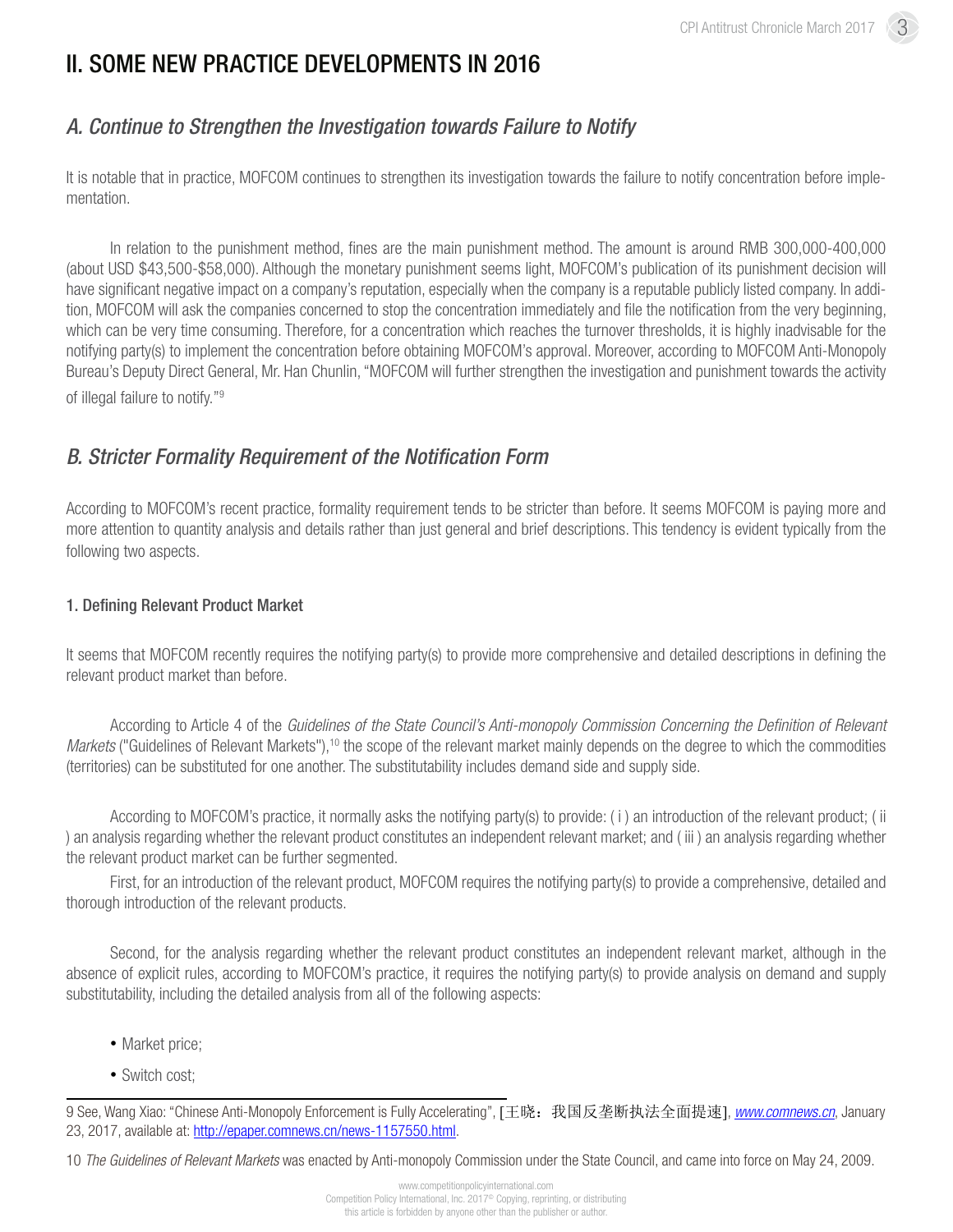# II. SOME NEW PRACTICE DEVELOPMENTS IN 2016

## *A. Continue to Strengthen the Investigation towards Failure to Notify*

It is notable that in practice, MOFCOM continues to strengthen its investigation towards the failure to notify concentration before implementation.

In relation to the punishment method, fines are the main punishment method. The amount is around RMB 300,000-400,000 (about USD \$43,500-\$58,000). Although the monetary punishment seems light, MOFCOM's publication of its punishment decision will have significant negative impact on a company's reputation, especially when the company is a reputable publicly listed company. In addition, MOFCOM will ask the companies concerned to stop the concentration immediately and file the notification from the very beginning, which can be very time consuming. Therefore, for a concentration which reaches the turnover thresholds, it is highly inadvisable for the notifying party(s) to implement the concentration before obtaining MOFCOM's approval. Moreover, according to MOFCOM Anti-Monopoly Bureau's Deputy Direct General, Mr. Han Chunlin, "MOFCOM will further strengthen the investigation and punishment towards the activity of illegal failure to notify."9

### *B. Stricter Formality Requirement of the Notification Form*

According to MOFCOM's recent practice, formality requirement tends to be stricter than before. It seems MOFCOM is paying more and more attention to quantity analysis and details rather than just general and brief descriptions. This tendency is evident typically from the following two aspects.

#### 1. Defining Relevant Product Market

It seems that MOFCOM recently requires the notifying party(s) to provide more comprehensive and detailed descriptions in defining the relevant product market than before.

According to Article 4 of the *Guidelines of the State Council's Anti-monopoly Commission Concerning the Definition of Relevant Markets* ("Guidelines of Relevant Markets"),<sup>10</sup> the scope of the relevant market mainly depends on the degree to which the commodities (territories) can be substituted for one another. The substitutability includes demand side and supply side.

According to MOFCOM's practice, it normally asks the notifying party(s) to provide: ( i ) an introduction of the relevant product; ( ii ) an analysis regarding whether the relevant product constitutes an independent relevant market; and ( iii ) an analysis regarding whether the relevant product market can be further segmented.

First, for an introduction of the relevant product, MOFCOM requires the notifying party(s) to provide a comprehensive, detailed and thorough introduction of the relevant products.

Second, for the analysis regarding whether the relevant product constitutes an independent relevant market, although in the absence of explicit rules, according to MOFCOM's practice, it requires the notifying party(s) to provide analysis on demand and supply substitutability, including the detailed analysis from all of the following aspects:

- Market price;
- Switch cost:

10 *The Guidelines of Relevant Markets* was enacted by Anti-monopoly Commission under the State Council, and came into force on May 24, 2009.

<sup>9</sup> See, Wang Xiao: "Chinese Anti-Monopoly Enforcement is Fully Accelerating", [王晓:我国反垄断执法全面提速], *[www.comnews.cn](http://www.comnews.cn)*, January 23, 2017, available at: [http://epaper.comnews.cn/news-1157550.html.](http://epaper.comnews.cn/news-1157550.html)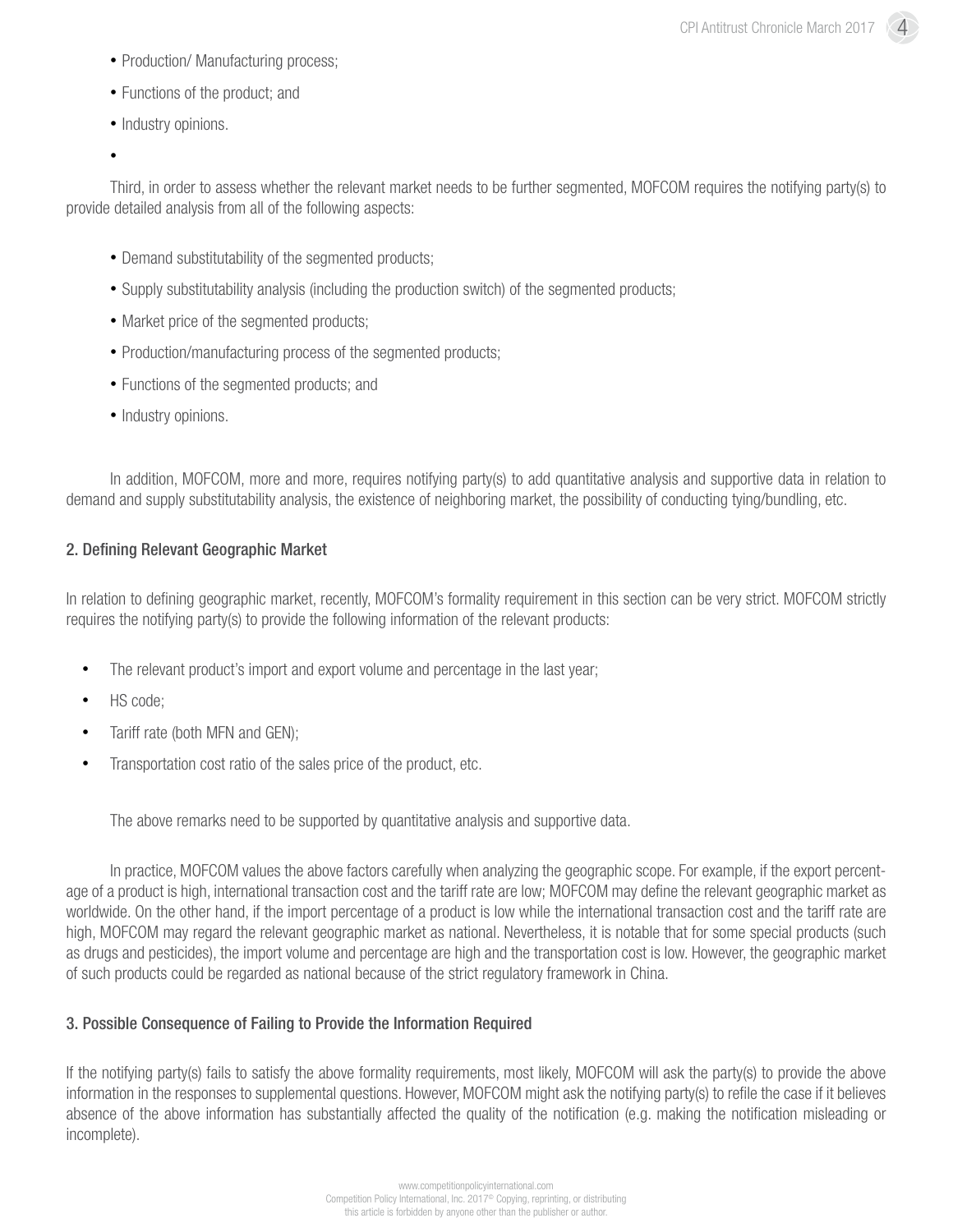- Production/ Manufacturing process;
- Functions of the product; and
- Industry opinions.
- •

Third, in order to assess whether the relevant market needs to be further segmented, MOFCOM requires the notifying party(s) to provide detailed analysis from all of the following aspects:

- Demand substitutability of the segmented products;
- Supply substitutability analysis (including the production switch) of the segmented products;
- Market price of the segmented products;
- Production/manufacturing process of the segmented products;
- Functions of the segmented products; and
- Industry opinions.

In addition, MOFCOM, more and more, requires notifying party(s) to add quantitative analysis and supportive data in relation to demand and supply substitutability analysis, the existence of neighboring market, the possibility of conducting tying/bundling, etc.

#### 2. Defining Relevant Geographic Market

In relation to defining geographic market, recently, MOFCOM's formality requirement in this section can be very strict. MOFCOM strictly requires the notifying party(s) to provide the following information of the relevant products:

- The relevant product's import and export volume and percentage in the last year;
- HS code;
- Tariff rate (both MFN and GEN);
- Transportation cost ratio of the sales price of the product, etc.

The above remarks need to be supported by quantitative analysis and supportive data.

In practice, MOFCOM values the above factors carefully when analyzing the geographic scope. For example, if the export percentage of a product is high, international transaction cost and the tariff rate are low; MOFCOM may define the relevant geographic market as worldwide. On the other hand, if the import percentage of a product is low while the international transaction cost and the tariff rate are high, MOFCOM may regard the relevant geographic market as national. Nevertheless, it is notable that for some special products (such as drugs and pesticides), the import volume and percentage are high and the transportation cost is low. However, the geographic market of such products could be regarded as national because of the strict regulatory framework in China.

#### 3. Possible Consequence of Failing to Provide the Information Required

If the notifying party(s) fails to satisfy the above formality requirements, most likely, MOFCOM will ask the party(s) to provide the above information in the responses to supplemental questions. However, MOFCOM might ask the notifying party(s) to refile the case if it believes absence of the above information has substantially affected the quality of the notification (e.g. making the notification misleading or incomplete).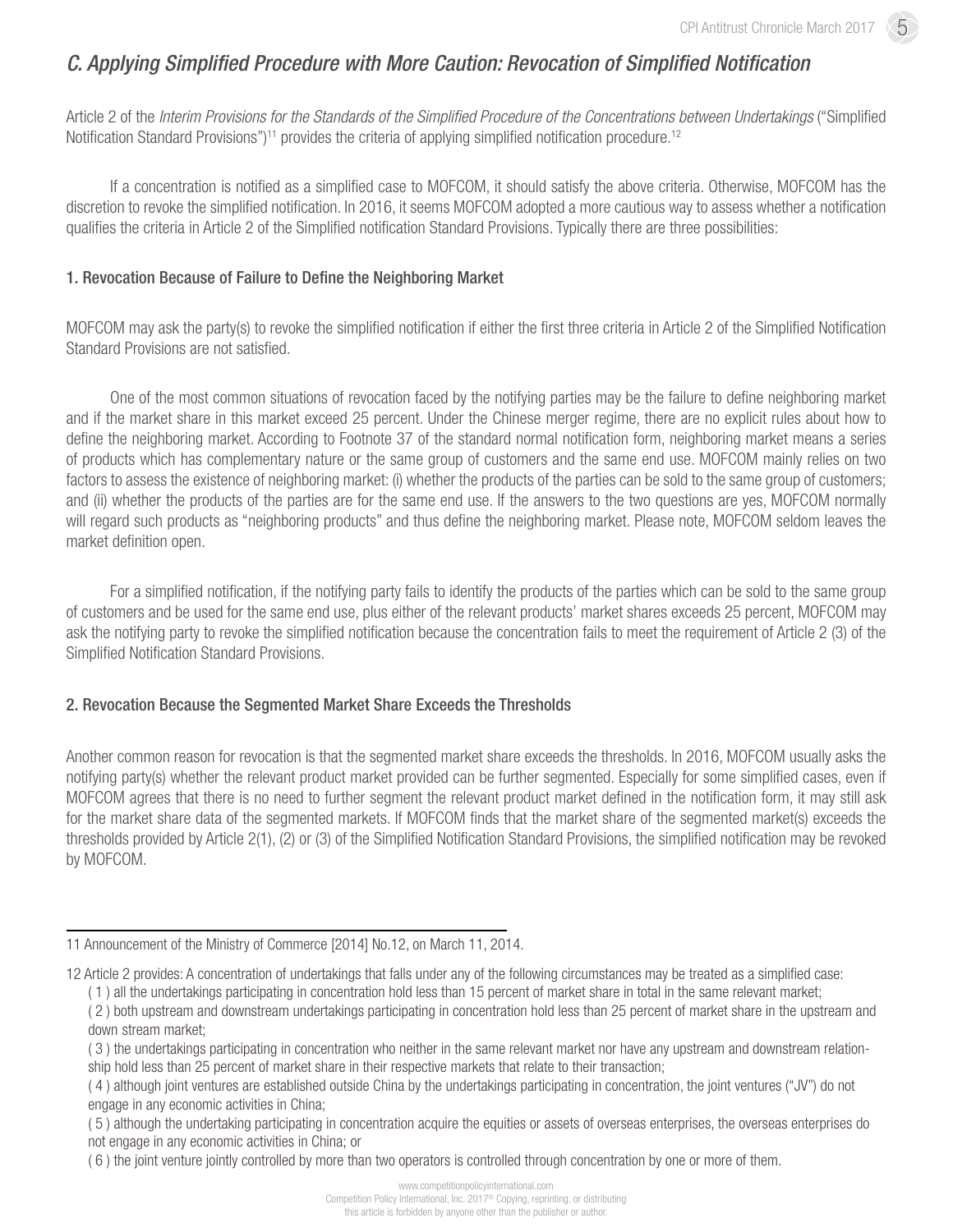# *C. Applying Simplified Procedure with More Caution: Revocation of Simplified Notification*

Article 2 of the *Interim Provisions for the Standards of the Simplified Procedure of the Concentrations between Undertakings* ("Simplified Notification Standard Provisions")<sup>11</sup> provides the criteria of applying simplified notification procedure.<sup>12</sup>

If a concentration is notified as a simplified case to MOFCOM, it should satisfy the above criteria. Otherwise, MOFCOM has the discretion to revoke the simplified notification. In 2016, it seems MOFCOM adopted a more cautious way to assess whether a notification qualifies the criteria in Article 2 of the Simplified notification Standard Provisions. Typically there are three possibilities:

#### 1. Revocation Because of Failure to Define the Neighboring Market

MOFCOM may ask the party(s) to revoke the simplified notification if either the first three criteria in Article 2 of the Simplified Notification Standard Provisions are not satisfied.

One of the most common situations of revocation faced by the notifying parties may be the failure to define neighboring market and if the market share in this market exceed 25 percent. Under the Chinese merger regime, there are no explicit rules about how to define the neighboring market. According to Footnote 37 of the standard normal notification form, neighboring market means a series of products which has complementary nature or the same group of customers and the same end use. MOFCOM mainly relies on two factors to assess the existence of neighboring market: (i) whether the products of the parties can be sold to the same group of customers; and (ii) whether the products of the parties are for the same end use. If the answers to the two questions are yes, MOFCOM normally will regard such products as "neighboring products" and thus define the neighboring market. Please note, MOFCOM seldom leaves the market definition open.

For a simplified notification, if the notifying party fails to identify the products of the parties which can be sold to the same group of customers and be used for the same end use, plus either of the relevant products' market shares exceeds 25 percent, MOFCOM may ask the notifying party to revoke the simplified notification because the concentration fails to meet the requirement of Article 2 (3) of the Simplified Notification Standard Provisions.

#### 2. Revocation Because the Segmented Market Share Exceeds the Thresholds

Another common reason for revocation is that the segmented market share exceeds the thresholds. In 2016, MOFCOM usually asks the notifying party(s) whether the relevant product market provided can be further segmented. Especially for some simplified cases, even if MOFCOM agrees that there is no need to further segment the relevant product market defined in the notification form, it may still ask for the market share data of the segmented markets. If MOFCOM finds that the market share of the segmented market(s) exceeds the thresholds provided by Article 2(1), (2) or (3) of the Simplified Notification Standard Provisions, the simplified notification may be revoked by MOFCOM.

<sup>11</sup> Announcement of the Ministry of Commerce [2014] No.12, on March 11, 2014.

<sup>12</sup> Article 2 provides: A concentration of undertakings that falls under any of the following circumstances may be treated as a simplified case:

<sup>( 1 )</sup> all the undertakings participating in concentration hold less than 15 percent of market share in total in the same relevant market;

<sup>( 2 )</sup> both upstream and downstream undertakings participating in concentration hold less than 25 percent of market share in the upstream and down stream market;

<sup>( 3 )</sup> the undertakings participating in concentration who neither in the same relevant market nor have any upstream and downstream relation-

ship hold less than 25 percent of market share in their respective markets that relate to their transaction;

<sup>( 4 )</sup> although joint ventures are established outside China by the undertakings participating in concentration, the joint ventures ("JV") do not engage in any economic activities in China;

<sup>( 5 )</sup> although the undertaking participating in concentration acquire the equities or assets of overseas enterprises, the overseas enterprises do not engage in any economic activities in China; or

<sup>( 6 )</sup> the joint venture jointly controlled by more than two operators is controlled through concentration by one or more of them.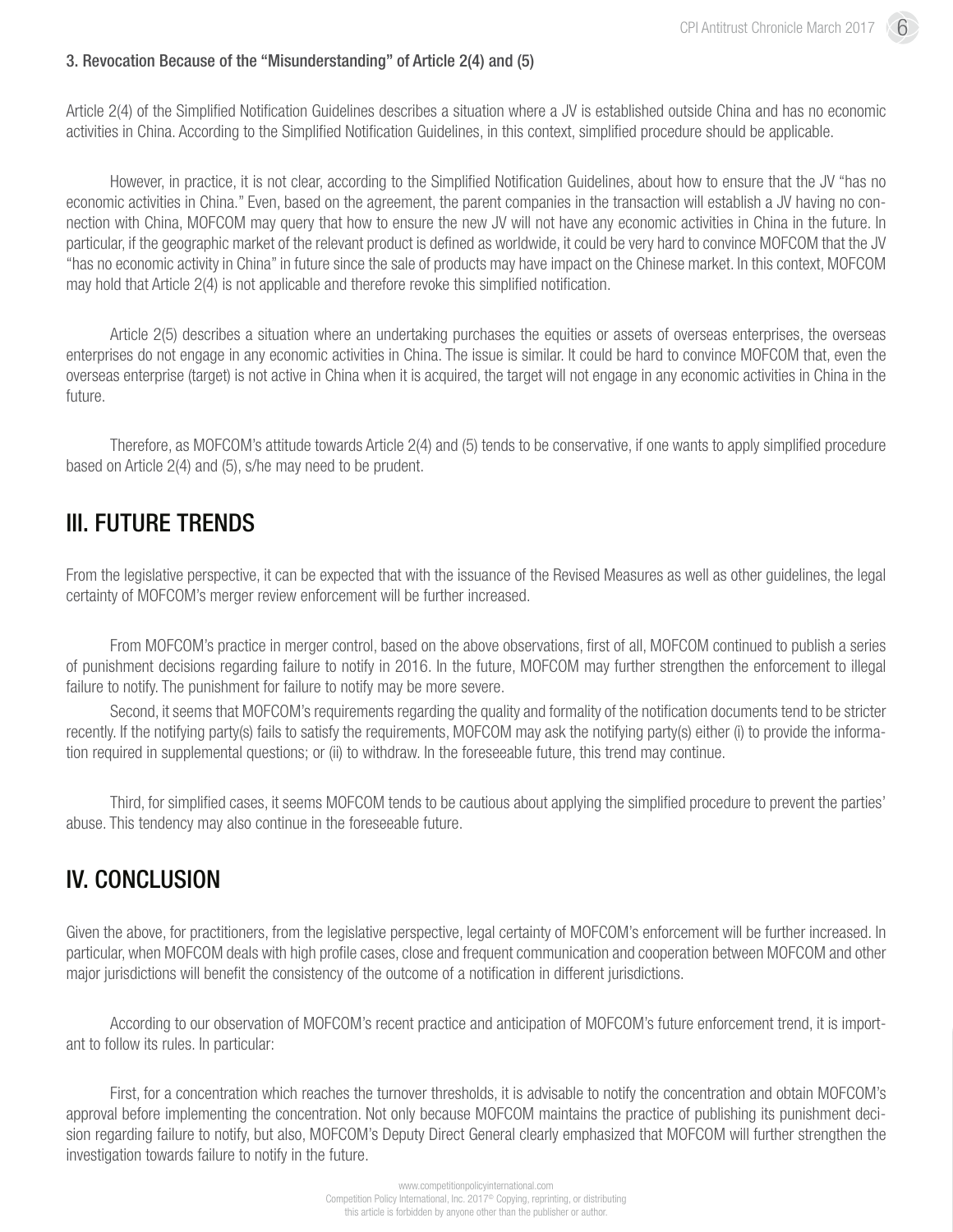#### 3. Revocation Because of the "Misunderstanding" of Article 2(4) and (5)

Article 2(4) of the Simplified Notification Guidelines describes a situation where a JV is established outside China and has no economic activities in China. According to the Simplified Notification Guidelines, in this context, simplified procedure should be applicable.

However, in practice, it is not clear, according to the Simplified Notification Guidelines, about how to ensure that the JV "has no economic activities in China." Even, based on the agreement, the parent companies in the transaction will establish a JV having no connection with China, MOFCOM may query that how to ensure the new JV will not have any economic activities in China in the future. In particular, if the geographic market of the relevant product is defined as worldwide, it could be very hard to convince MOFCOM that the JV "has no economic activity in China" in future since the sale of products may have impact on the Chinese market. In this context, MOFCOM may hold that Article 2(4) is not applicable and therefore revoke this simplified notification.

Article 2(5) describes a situation where an undertaking purchases the equities or assets of overseas enterprises, the overseas enterprises do not engage in any economic activities in China. The issue is similar. It could be hard to convince MOFCOM that, even the overseas enterprise (target) is not active in China when it is acquired, the target will not engage in any economic activities in China in the future.

Therefore, as MOFCOM's attitude towards Article 2(4) and (5) tends to be conservative, if one wants to apply simplified procedure based on Article 2(4) and (5), s/he may need to be prudent.

## III. FUTURE TRENDS

From the legislative perspective, it can be expected that with the issuance of the Revised Measures as well as other guidelines, the legal certainty of MOFCOM's merger review enforcement will be further increased.

From MOFCOM's practice in merger control, based on the above observations, first of all, MOFCOM continued to publish a series of punishment decisions regarding failure to notify in 2016. In the future, MOFCOM may further strengthen the enforcement to illegal failure to notify. The punishment for failure to notify may be more severe.

Second, it seems that MOFCOM's requirements regarding the quality and formality of the notification documents tend to be stricter recently. If the notifying party(s) fails to satisfy the requirements, MOFCOM may ask the notifying party(s) either (i) to provide the information required in supplemental questions; or (ii) to withdraw. In the foreseeable future, this trend may continue.

Third, for simplified cases, it seems MOFCOM tends to be cautious about applying the simplified procedure to prevent the parties' abuse. This tendency may also continue in the foreseeable future.

# IV. CONCLUSION

Given the above, for practitioners, from the legislative perspective, legal certainty of MOFCOM's enforcement will be further increased. In particular, when MOFCOM deals with high profile cases, close and frequent communication and cooperation between MOFCOM and other major jurisdictions will benefit the consistency of the outcome of a notification in different jurisdictions.

According to our observation of MOFCOM's recent practice and anticipation of MOFCOM's future enforcement trend, it is important to follow its rules. In particular:

First, for a concentration which reaches the turnover thresholds, it is advisable to notify the concentration and obtain MOFCOM's approval before implementing the concentration. Not only because MOFCOM maintains the practice of publishing its punishment decision regarding failure to notify, but also, MOFCOM's Deputy Direct General clearly emphasized that MOFCOM will further strengthen the investigation towards failure to notify in the future.